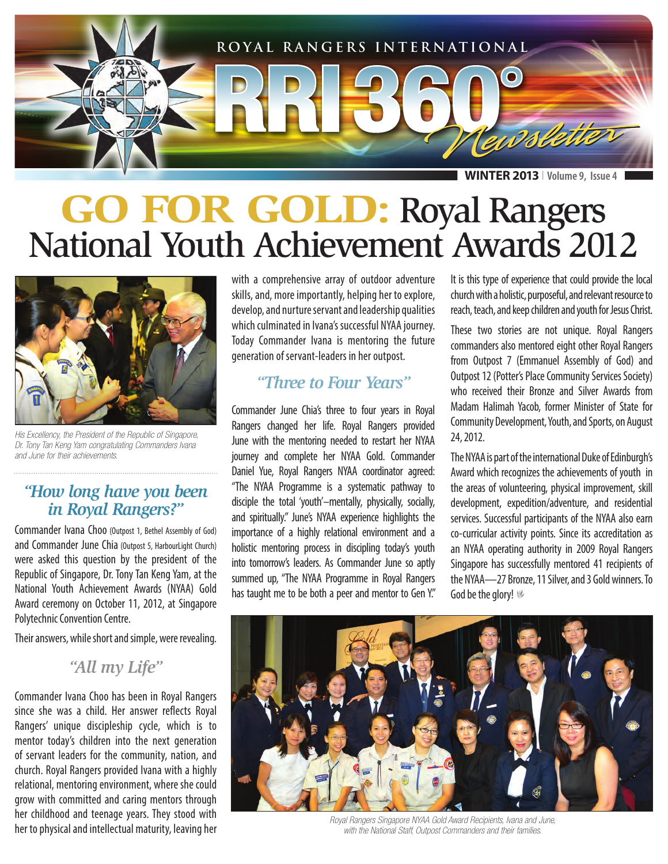

**WINTER 2013** I **Volume 9, Issue 4**

## **GO FOR GOLD:** Royal Rangers National Youth Achievement Awards 2012



*His Excellency, the President of the Republic of Singapore, Dr. Tony Tan Keng Yam congratulating Commanders Ivana and June for their achievements.*

#### *"How long have you been in Royal Rangers?"*

Commander Ivana Choo (Outpost 1, Bethel Assembly of God) and Commander June Chia (Outpost 5, HarbourLight Church) were asked this question by the president of the Republic of Singapore, Dr. Tony Tan Keng Yam, at the National Youth Achievement Awards (NYAA) Gold Award ceremony on October 11, 2012, at Singapore Polytechnic Convention Centre.

Their answers, while short and simple, were revealing.

#### *"All my Life"*

Commander Ivana Choo has been in Royal Rangers since she was a child. Her answer reflects Royal Rangers' unique discipleship cycle, which is to mentor today's children into the next generation of servant leaders for the community, nation, and church. Royal Rangers provided Ivana with a highly relational, mentoring environment, where she could grow with committed and caring mentors through her childhood and teenage years. They stood with her to physical and intellectual maturity, leaving her

with a comprehensive array of outdoor adventure skills, and, more importantly, helping her to explore, develop, and nurture servant and leadership qualities which culminated in Ivana's successful NYAA journey. Today Commander Ivana is mentoring the future generation of servant-leaders in her outpost.

### *"Three to Four Years"*

Commander June Chia's three to four years in Royal Rangers changed her life. Royal Rangers provided June with the mentoring needed to restart her NYAA journey and complete her NYAA Gold. Commander Daniel Yue, Royal Rangers NYAA coordinator agreed: "The NYAA Programme is a systematic pathway to disciple the total 'youth'–mentally, physically, socially, and spiritually." June's NYAA experience highlights the importance of a highly relational environment and a holistic mentoring process in discipling today's youth into tomorrow's leaders. As Commander June so aptly summed up, "The NYAA Programme in Royal Rangers has taught me to be both a peer and mentor to Gen Y."

It is this type of experience that could provide the local church with a holistic, purposeful, and relevant resource to reach, teach, and keep children and youth for Jesus Christ.

These two stories are not unique. Royal Rangers commanders also mentored eight other Royal Rangers from Outpost 7 (Emmanuel Assembly of God) and Outpost 12 (Potter's Place Community Services Society) who received their Bronze and Silver Awards from Madam Halimah Yacob, former Minister of State for Community Development, Youth, and Sports, on August 24, 2012.

The NYAA is part of the international Duke of Edinburgh's Award which recognizes the achievements of youth in the areas of volunteering, physical improvement, skill development, expedition/adventure, and residential services. Successful participants of the NYAA also earn co-curricular activity points. Since its accreditation as an NYAA operating authority in 2009 Royal Rangers Singapore has successfully mentored 41 recipients of the NYAA—27 Bronze, 11 Silver, and 3 Gold winners. To God be the glory!  $%$ 



*Royal Rangers Singapore NYAA Gold Award Recipients, Ivana and June, with the National Staff, Outpost Commanders and their families.*